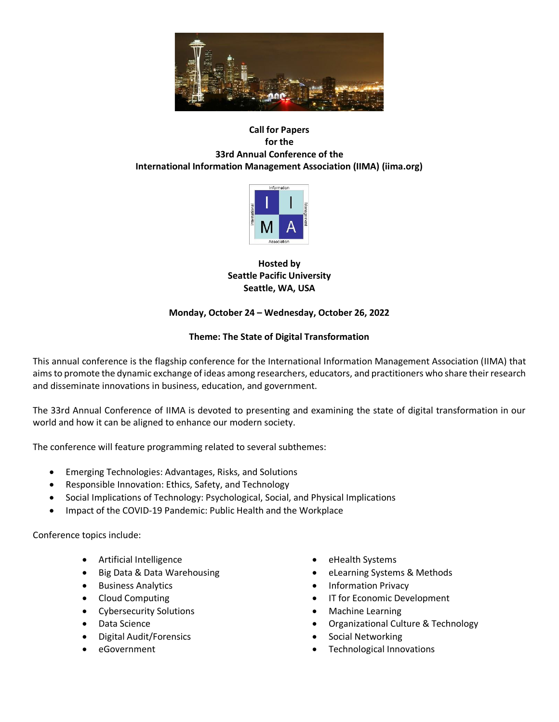

## **Call for Papers for the 33rd Annual Conference of the International Information Management Association (IIMA) (iima.org)**



**Hosted by Seattle Pacific University Seattle, WA, USA**

# **Monday, October 24 – Wednesday, October 26, 2022**

# **Theme: The State of Digital Transformation**

This annual conference is the flagship conference for the International Information Management Association (IIMA) that aims to promote the dynamic exchange of ideas among researchers, educators, and practitioners who share their research and disseminate innovations in business, education, and government.

The 33rd Annual Conference of IIMA is devoted to presenting and examining the state of digital transformation in our world and how it can be aligned to enhance our modern society.

The conference will feature programming related to several subthemes:

- Emerging Technologies: Advantages, Risks, and Solutions
- Responsible Innovation: Ethics, Safety, and Technology
- Social Implications of Technology: Psychological, Social, and Physical Implications
- Impact of the COVID-19 Pandemic: Public Health and the Workplace

Conference topics include:

- Artificial Intelligence
- Big Data & Data Warehousing
- Business Analytics
- Cloud Computing
- Cybersecurity Solutions
- Data Science
- Digital Audit/Forensics
- eGovernment
- eHealth Systems
- eLearning Systems & Methods
- Information Privacy
- IT for Economic Development
- Machine Learning
- Organizational Culture & Technology
- Social Networking
- Technological Innovations